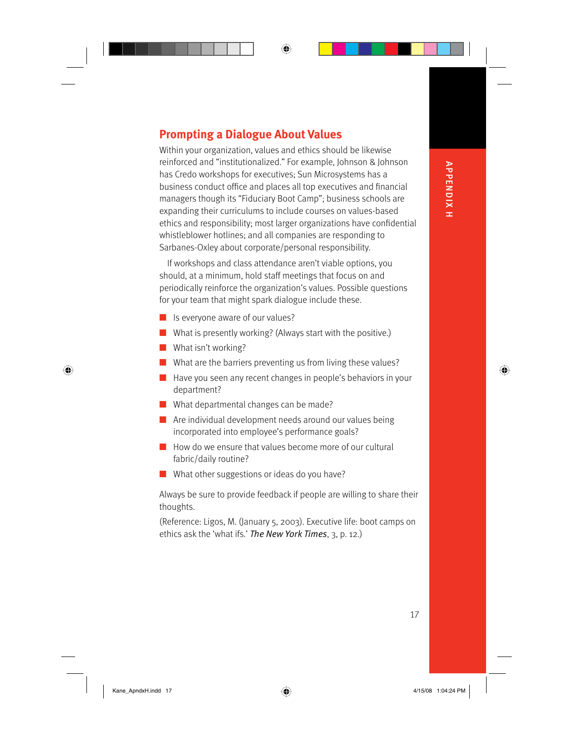## **Prompting a Dialogue About Values**

Within your organization, values and ethics should be likewise reinforced and "institutionalized." For example, Johnson & Johnson has Credo workshops for executives; Sun Microsystems has a business conduct office and places all top executives and financial managers though its "Fiduciary Boot Camp"; business schools are expanding their curriculums to include courses on values-based ethics and responsibility; most larger organizations have confidential whistleblower hotlines; and all companies are responding to Sarbanes-Oxley about corporate/personal responsibility.

⊕

If workshops and class attendance aren't viable options, you should, at a minimum, hold staff meetings that focus on and periodically reinforce the organization's values. Possible questions for your team that might spark dialogue include these.

- Is everyone aware of our values?
- What is presently working? (Always start with the positive.) ■
- What isn't working? ■

 $\bigoplus$ 

- What are the barriers preventing us from living these values?
- Have you seen any recent changes in people's behaviors in your department?
- What departmental changes can be made?
- Are individual development needs around our values being incorporated into employee's performance goals?
- How do we ensure that values become more of our cultural fabric/daily routine?
- What other suggestions or ideas do you have?

Always be sure to provide feedback if people are willing to share their thoughts.

(Reference: Ligos, M. (January 5, 2003). Executive life: boot camps on ethics ask the 'what ifs.' *The New York Times*, 3, p. 12.)

⊕